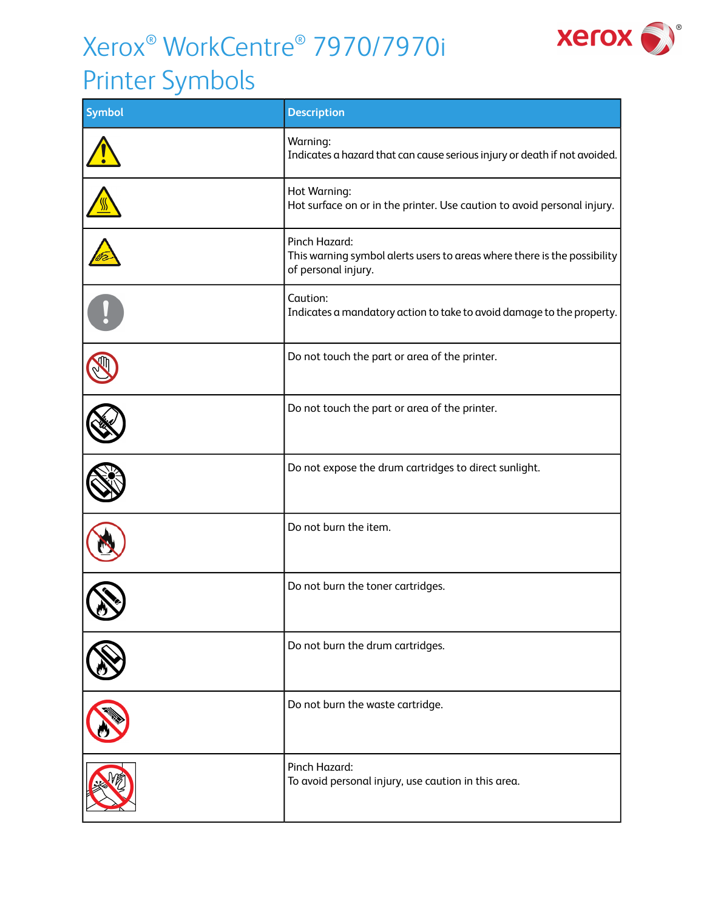## Xerox® WorkCentre® 7970/7970i



## Printer Symbols

| <b>Symbol</b> | <b>Description</b>                                                                                               |
|---------------|------------------------------------------------------------------------------------------------------------------|
|               | Warning:<br>Indicates a hazard that can cause serious injury or death if not avoided.                            |
|               | Hot Warning:<br>Hot surface on or in the printer. Use caution to avoid personal injury.                          |
|               | Pinch Hazard:<br>This warning symbol alerts users to areas where there is the possibility<br>of personal injury. |
|               | Caution:<br>Indicates a mandatory action to take to avoid damage to the property.                                |
|               | Do not touch the part or area of the printer.                                                                    |
|               | Do not touch the part or area of the printer.                                                                    |
|               | Do not expose the drum cartridges to direct sunlight.                                                            |
|               | Do not burn the item.                                                                                            |
|               | Do not burn the toner cartridges.                                                                                |
|               | Do not burn the drum cartridges.                                                                                 |
|               | Do not burn the waste cartridge.                                                                                 |
|               | Pinch Hazard:<br>To avoid personal injury, use caution in this area.                                             |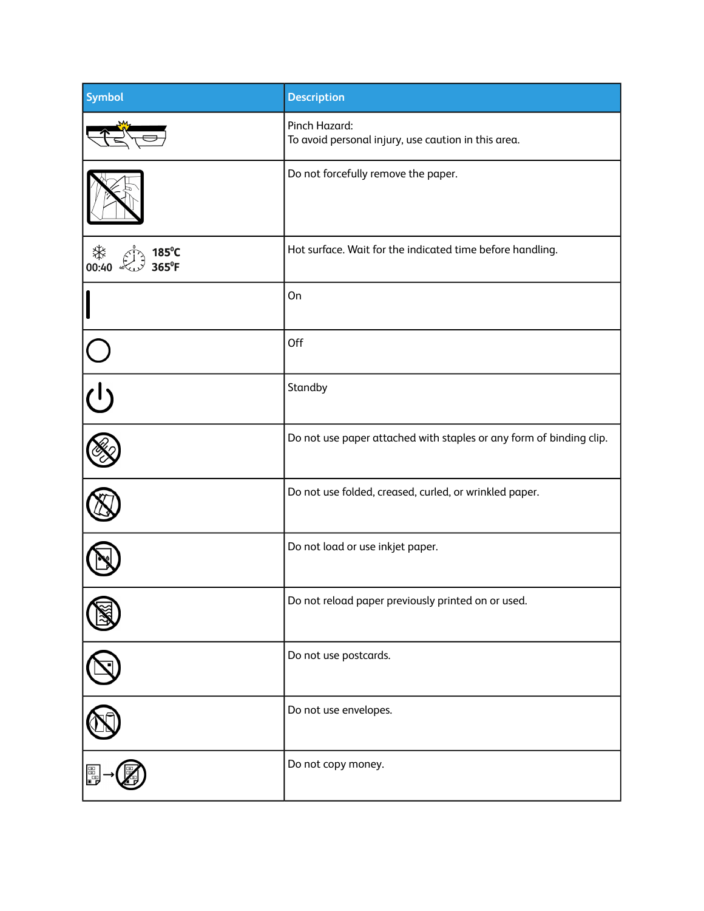| <b>Symbol</b>                  | <b>Description</b>                                                   |
|--------------------------------|----------------------------------------------------------------------|
|                                | Pinch Hazard:<br>To avoid personal injury, use caution in this area. |
|                                | Do not forcefully remove the paper.                                  |
| ∜<br>00:40 ∿<br>185°C<br>365°F | Hot surface. Wait for the indicated time before handling.            |
|                                | On                                                                   |
|                                | Off                                                                  |
| $\overline{\bigcup}$           | Standby                                                              |
|                                | Do not use paper attached with staples or any form of binding clip.  |
|                                | Do not use folded, creased, curled, or wrinkled paper.               |
|                                | Do not load or use inkjet paper.                                     |
|                                | Do not reload paper previously printed on or used.                   |
|                                | Do not use postcards.                                                |
|                                | Do not use envelopes.                                                |
| e<br>G                         | Do not copy money.                                                   |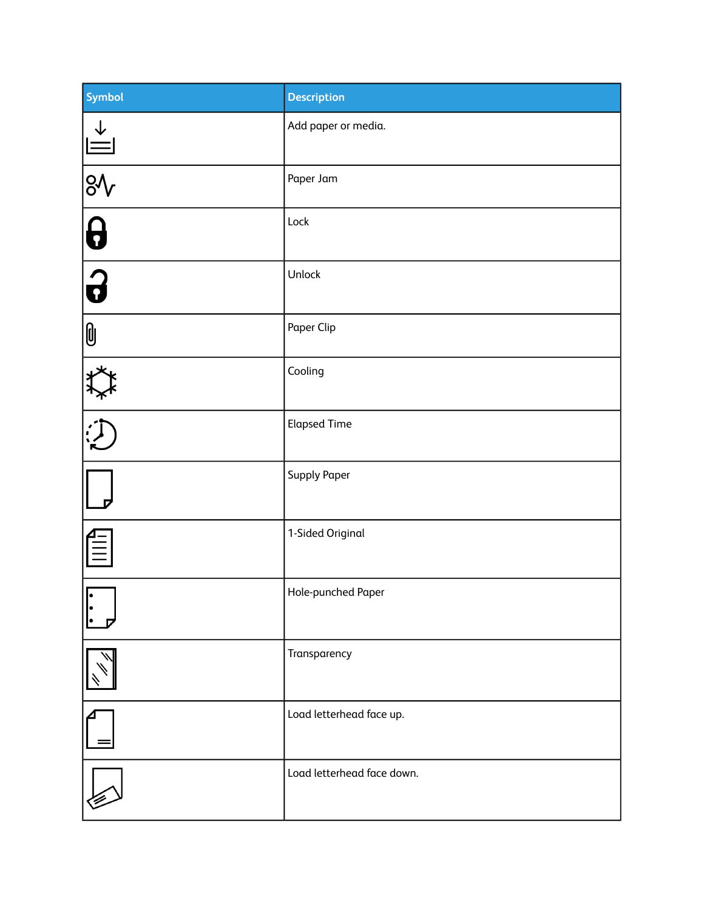| Symbol                                              | <b>Description</b>         |
|-----------------------------------------------------|----------------------------|
|                                                     | Add paper or media.        |
|                                                     | Paper Jam                  |
| $\frac{1}{\sqrt{2}}\left \frac{1}{\sqrt{2}}\right $ | Lock                       |
|                                                     | Unlock                     |
| $\mathbf{0}$                                        | Paper Clip                 |
|                                                     | Cooling                    |
|                                                     | <b>Elapsed Time</b>        |
|                                                     | <b>Supply Paper</b>        |
| E                                                   | 1-Sided Original           |
| $\overline{\cdot}$                                  | Hole-punched Paper         |
|                                                     | Transparency               |
|                                                     | Load letterhead face up.   |
|                                                     | Load letterhead face down. |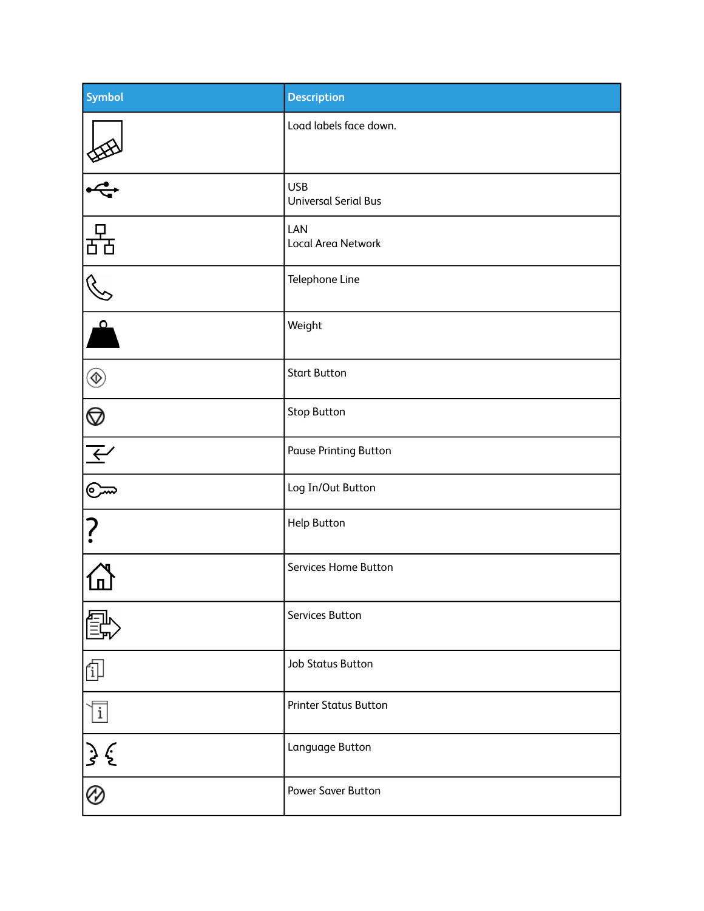| <b>Symbol</b>                                                                                                                | <b>Description</b>                        |
|------------------------------------------------------------------------------------------------------------------------------|-------------------------------------------|
|                                                                                                                              | Load labels face down.                    |
| $\frac{1}{\sqrt{2}}$                                                                                                         | <b>USB</b><br><b>Universal Serial Bus</b> |
| 몲                                                                                                                            | LAN<br>Local Area Network                 |
| $\mathscr{S}$                                                                                                                | Telephone Line                            |
| $\overline{\phantom{a}}^{\circ}$                                                                                             | Weight                                    |
| $^{\circledR}$                                                                                                               | <b>Start Button</b>                       |
| $\begin{array}{ c c } \hline \mathbb{Q} & \mathbb{A} & \mathbb{Q} \\\hline \mathbb{Z} & \mathbb{Z} & \mathbb{Z} \end{array}$ | <b>Stop Button</b>                        |
|                                                                                                                              | <b>Pause Printing Button</b>              |
|                                                                                                                              | Log In/Out Button                         |
| ?                                                                                                                            | <b>Help Button</b>                        |
|                                                                                                                              | Services Home Button                      |
|                                                                                                                              | Services Button                           |
| î                                                                                                                            | <b>Job Status Button</b>                  |
| $\boxed{\mathrm{i}}$                                                                                                         | <b>Printer Status Button</b>              |
| $\frac{3}{5}$                                                                                                                | Language Button                           |
| $\overline{\mathcal{C}}$                                                                                                     | <b>Power Saver Button</b>                 |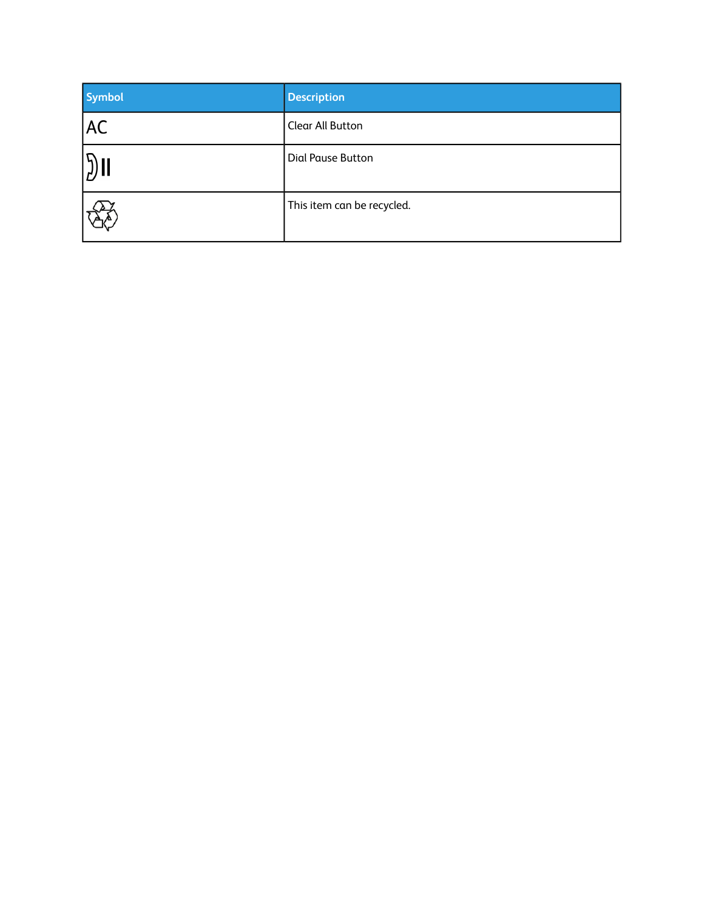| <b>Symbol</b>      | <b>Description</b>         |
|--------------------|----------------------------|
| <b>AC</b>          | <b>Clear All Button</b>    |
| $ \mathfrak{Z}$ II | Dial Pause Button          |
|                    | This item can be recycled. |